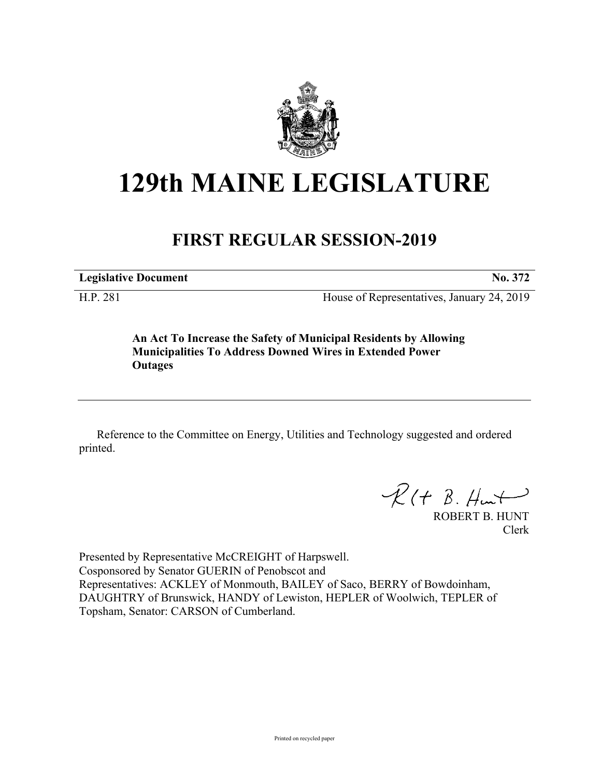

# **129th MAINE LEGISLATURE**

# **FIRST REGULAR SESSION-2019**

**Legislative Document No. 372**

H.P. 281 House of Representatives, January 24, 2019

**An Act To Increase the Safety of Municipal Residents by Allowing Municipalities To Address Downed Wires in Extended Power Outages**

Reference to the Committee on Energy, Utilities and Technology suggested and ordered printed.

 $R(H B. H<sub>un</sub>+)$ 

ROBERT B. HUNT Clerk

Presented by Representative McCREIGHT of Harpswell. Cosponsored by Senator GUERIN of Penobscot and Representatives: ACKLEY of Monmouth, BAILEY of Saco, BERRY of Bowdoinham, DAUGHTRY of Brunswick, HANDY of Lewiston, HEPLER of Woolwich, TEPLER of Topsham, Senator: CARSON of Cumberland.